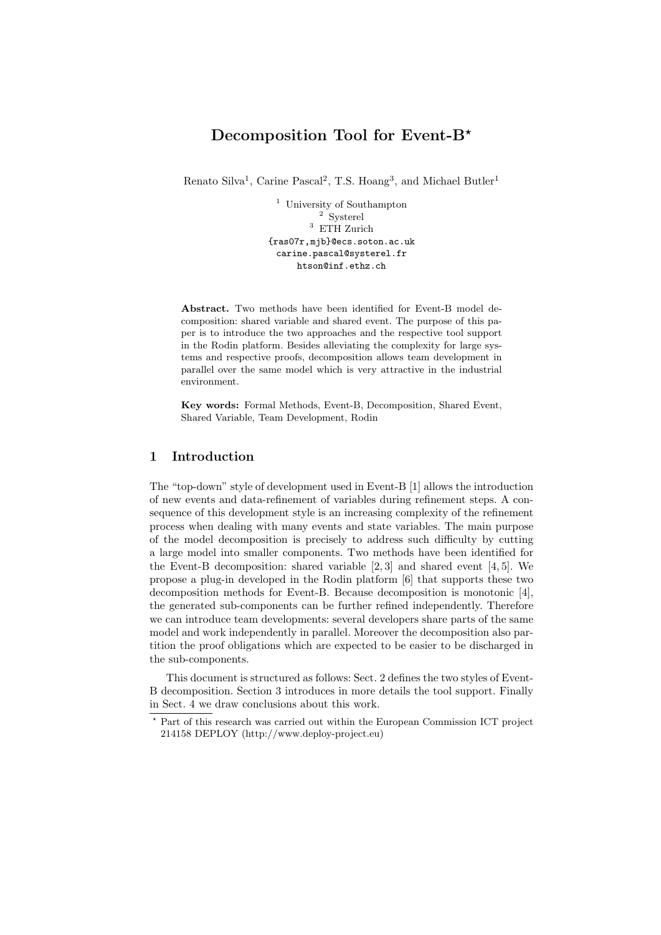# Decomposition Tool for Event-B\*

Renato Silva<sup>1</sup>, Carine Pascal<sup>2</sup>, T.S. Hoang<sup>3</sup>, and Michael Butler<sup>1</sup>

<sup>1</sup> University of Southampton <sup>2</sup> Systerel  $^3$  ETH Zurich {ras07r,mjb}@ecs.soton.ac.uk carine.pascal@systerel.fr htson@inf.ethz.ch

Abstract. Two methods have been identified for Event-B model decomposition: shared variable and shared event. The purpose of this paper is to introduce the two approaches and the respective tool support in the Rodin platform. Besides alleviating the complexity for large systems and respective proofs, decomposition allows team development in parallel over the same model which is very attractive in the industrial environment.

Key words: Formal Methods, Event-B, Decomposition, Shared Event, Shared Variable, Team Development, Rodin

## 1 Introduction

The "top-down" style of development used in Event-B [1] allows the introduction of new events and data-refinement of variables during refinement steps. A consequence of this development style is an increasing complexity of the refinement process when dealing with many events and state variables. The main purpose of the model decomposition is precisely to address such difficulty by cutting a large model into smaller components. Two methods have been identified for the Event-B decomposition: shared variable  $[2, 3]$  and shared event  $[4, 5]$ . We propose a plug-in developed in the Rodin platform [6] that supports these two decomposition methods for Event-B. Because decomposition is monotonic [4], the generated sub-components can be further refined independently. Therefore we can introduce team developments: several developers share parts of the same model and work independently in parallel. Moreover the decomposition also partition the proof obligations which are expected to be easier to be discharged in the sub-components.

This document is structured as follows: Sect. 2 defines the two styles of Event-B decomposition. Section 3 introduces in more details the tool support. Finally in Sect. 4 we draw conclusions about this work.

 $^\star$  Part of this research was carried out within the European Commission ICT project 214158 DEPLOY (http://www.deploy-project.eu)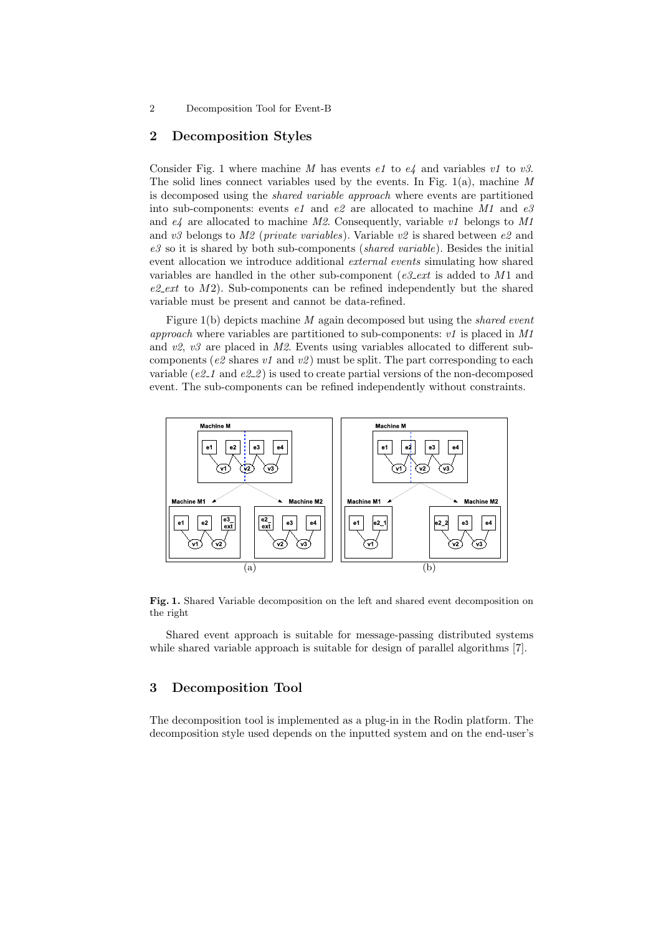### 2 Decomposition Tool for Event-B

### 2 Decomposition Styles

Consider Fig. 1 where machine M has events  $e_1$  to  $e_4$  and variables  $v_1$  to  $v_3$ . The solid lines connect variables used by the events. In Fig.  $1(a)$ , machine M is decomposed using the shared variable approach where events are partitioned into sub-components: events e1 and e2 are allocated to machine M1 and e3 and  $e_4$  are allocated to machine M2. Consequently, variable v1 belongs to M1 and v3 belongs to  $M2$  (private variables). Variable v2 is shared between e2 and  $e3$  so it is shared by both sub-components (shared variable). Besides the initial event allocation we introduce additional *external events* simulating how shared variables are handled in the other sub-component ( $e3$ - $ext$  is added to  $M1$  and  $e2\text{.}ext$  to  $M2$ ). Sub-components can be refined independently but the shared variable must be present and cannot be data-refined.

Figure  $1(b)$  depicts machine M again decomposed but using the *shared event* approach where variables are partitioned to sub-components:  $v1$  is placed in  $M1$ and  $v\mathcal{Z}, v\mathcal{Z}$  are placed in M2. Events using variables allocated to different subcomponents (e2 shares v1 and v2) must be split. The part corresponding to each variable (e2.1 and e2.2) is used to create partial versions of the non-decomposed event. The sub-components can be refined independently without constraints.



Fig. 1. Shared Variable decomposition on the left and shared event decomposition on the right

Shared event approach is suitable for message-passing distributed systems while shared variable approach is suitable for design of parallel algorithms [7].

### 3 Decomposition Tool

The decomposition tool is implemented as a plug-in in the Rodin platform. The decomposition style used depends on the inputted system and on the end-user's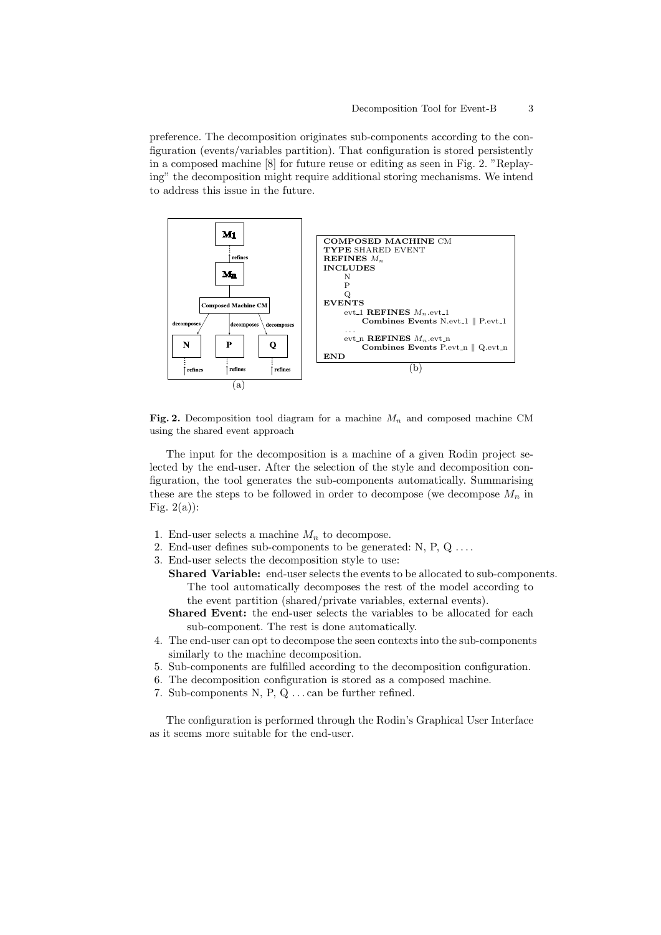preference. The decomposition originates sub-components according to the configuration (events/variables partition). That configuration is stored persistently in a composed machine [8] for future reuse or editing as seen in Fig. 2. "Replaying" the decomposition might require additional storing mechanisms. We intend to address this issue in the future.



Fig. 2. Decomposition tool diagram for a machine  $M_n$  and composed machine CM using the shared event approach

The input for the decomposition is a machine of a given Rodin project selected by the end-user. After the selection of the style and decomposition configuration, the tool generates the sub-components automatically. Summarising these are the steps to be followed in order to decompose (we decompose  $M_n$  in Fig.  $2(a)$ :

- 1. End-user selects a machine  $M_n$  to decompose.
- 2. End-user defines sub-components to be generated: N, P, Q . . . .
- 3. End-user selects the decomposition style to use:
	- Shared Variable: end-user selects the events to be allocated to sub-components. The tool automatically decomposes the rest of the model according to the event partition (shared/private variables, external events).
	- Shared Event: the end-user selects the variables to be allocated for each sub-component. The rest is done automatically.
- 4. The end-user can opt to decompose the seen contexts into the sub-components similarly to the machine decomposition.
- 5. Sub-components are fulfilled according to the decomposition configuration.
- 6. The decomposition configuration is stored as a composed machine.
- 7. Sub-components N, P, Q . . . can be further refined.

The configuration is performed through the Rodin's Graphical User Interface as it seems more suitable for the end-user.